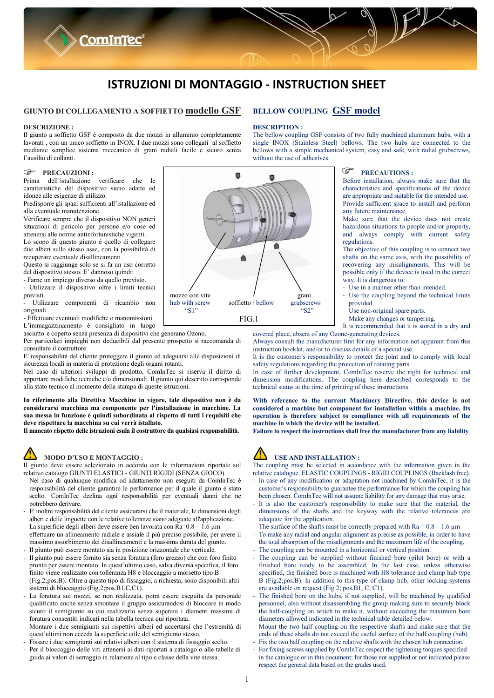# **ISTRUZIONI DI MONTAGGIO - INSTRUCTION SHEET**

### **GIUNTO DI COLLEGAMENTO A SOFFIETTO modello GSF**

**Comintec®** 

#### **DESCRIZIONE :**

Il giunto a soffietto GSF è composto da due mozzi in alluminio completamente lavorati , con un unico soffietto in INOX. I due mozzi sono collegati al soffietto mediante semplice sistema meccanico di grani radiali facile e sicuro senza l'ausilio di collanti.

#### $\mathbb{Q}$ **PRECAUZIONI :**

Prima dell'istallazione verificare che le caratteristiche del dispositivo siano adatte ed idonee alle esigenze di utilizzo.

Predisporre gli spazi sufficienti all'istallazione ed alla eventuale manutenzione.

Verificare sempre che il dispositivo NON generi situazioni di pericolo per persone e/o cose ed attenersi alle norme antinfortunistiche vigenti.

Lo scopo di questo giunto è quello di collegare due alberi sullo stesso asse, con la possibilità di recuperare eventuale disallineamenti.

Questo si raggiunge solo se si fa un uso corretto del dispositivo stesso. E' dannoso quindi:

- Farne un impiego diverso da quello previsto. - Utilizzare il dispositivo oltre i limiti tecnici

previsti. - Utilizzare componenti di ricambio non

originali. - Effettuare eventuali modifiche o manomissioni.

L'immagazzinamento è consigliato in luogo

asciutto e coperto senza presenza di dispositivi che generano Ozono.

Per particolari impieghi non deducibili dal presente prospetto si raccomanda di consultare il costruttore.

E' responsabilità del cliente proteggere il giunto ed adeguarsi alle disposizioni di sicurezza locali in materia di protezione degli organi rotanti.

Nel caso di ulteriori sviluppi di prodotto, ComInTec si riserva il diritto di apportare modifiche tecniche e/o dimensionali. Il giunto qui descritto corrisponde alla stato tecnico al momento della stampa di queste istruzioni.

**In riferimento alla Direttiva Macchine in vigore, tale dispositivo non è da considerarsi macchina ma componente per l'installazione in macchine. La sua messa in funzione è quindi subordinata al rispetto di tutti i requisiti che deve rispettare la macchina su cui verrà istallato.**

**Il mancato rispetto delle istruzioni esula il costruttore da qualsiasi responsabilità**.

## **MODO D'USO E MONTAGGIO :**

Il giunto deve essere selezionato in accordo con le informazioni riportate sul relativo catalogo GIUNTI ELASTICI - GIUNTI RIGIDI (SENZA GIOCO).

- Nel caso di qualunque modifica od adattamento non eseguiti da ComInTec è responsabilità del cliente garantire le performance per il quale il giunto è stato scelto. ComInTec declina ogni responsabilità per eventuali danni che ne potrebbero derivare.
- E' inoltre responsabilità del cliente assicurarsi che il materiale, le dimensioni degli alberi e delle linguette con le relative tolleranze siano adeguate all'applicazione.
- La superficie degli alberi deve essere ben lavorata con  $\overline{Ra}=0.8 1.6 \mu m$
- effettuare un allineamento radiale e assiale il più preciso possibile, per avere il massimo assorbimento dei disallineamenti e la massima durata del giunto. - Il giunto può essere montato sia in posizione orizzontale che verticale.
- 
- Il giunto può essere fornito sia senza foratura (foro grezzo) che con foro finito pronto per essere montato. In quest'ultimo caso, salva diversa specifica, il foro finito viene realizzato con tolleranza H8 e bloccaggio a morsetto tipo B (Fig.2;pos.B). Oltre a questo tipo di fissaggio, a richiesta, sono disponibili altri sistemi di bloccaggio (Fig.2;pos.B1,C,C1).
- La foratura sui mozzi, se non realizzata, potrà essere eseguita da personale qualificato anche senza smontare il gruppo assicurandosi di bloccare in modo sicuro il semigiunto su cui realizzarlo senza superare i diametri massimi di foratura consentiti indicati nella tabella tecnica qui riportata.
- Montare i due semigiunti sui rispettivi alberi ed accertarsi che l'estremità di quest'ultimi non ecceda la superficie utile del semigiunto stesso.
- Fissare i due semigiunti sui relativi alberi con il sistema di fissaggio scelto.
- Per il bloccaggio delle viti attenersi ai dati riportati a catalogo o alle tabelle di guida ai valori di serraggio in relazione al tipo e classe della vite stessa.



#### **DESCRIPTION :**

The bellow coupling GSF consists of two fully machined aluminum hubs, with a single INOX (Stainless Steel) bellows. The two hubs are connected to the bellows with a simple mechanical system, easy and safe, with radial grubscrews, without the use of adhesives.



#### **P PRECAUTIONS :**

Before installation, always make sure that the characteristics and specifications of the device are appropriate and suitable for the intended use. Provide sufficient space to install and perform any future maintenance.

Make sure that the device does not create hazardous situations to people and/or property, and always comply with current safety regulations.

The objective of this coupling is to connect two shafts on the same axis, with the possibility of recovering any misalignments. This will be possible only if the device is used in the correct way. It is dangerous to:

- Use in a manner other than intended.
- Use the coupling beyond the technical limits provided.
- Use non-original spare parts.
- Make any changes or tampering.
- It is recommended that it is stored in a dry and

covered place, absent of any Ozone-generating devices. Always consult the manufacturer first for any information not apparent from this

instruction booklet, and/or to discuss details of a special use. It is the customer's responsibility to protect the joint and to comply with local

safety regulations regarding the protection of rotating parts.

In case of further development, ComInTec reserve the right for technical and dimension modifications. The coupling here described corresponds to the technical status at the time of printing of these instructions.

**With reference to the current Machinery Directive, this device is not considered a machine but component for installation within a machine. Its operation is therefore subject to compliance with all requirements of the machine in which the device will be installed.**

**Failure to respect the instructions shall free the manufacturer from any liability**.



### **USE AND INSTALLATION :**

The coupling must be selected in accordance with the information given in the relative catalogue. ELASTIC COUPLINGS - RIGID COUPLINGS (Backlash free).

- In case of any modification or adaptation not machined by ComInTec, it is the customer's responsibility to guarantee the performance for which the coupling has been chosen. ComInTec will not assume liability for any damage that may arise.
- It is also the customer's responsibility to make sure that the material, the dimensions of the shafts and the keyway with the relative tolerances are adequate for the application.
- The surface of the shafts must be correctly prepared with  $Ra = 0.8 1.6 \mu m$
- To make any radial and angular alignment as precise as possible, in order to have the total absorption of the misalignments and the maximum life of the coupling.
- The coupling can be mounted in a horizontal or vertical position.
- The coupling can be supplied without finished bore (pilot bore) or with a finished bore ready to be assembled. In the last case, unless otherwise specified, the finished bore is machined with H8 tolerance and clamp hub type B (Fig.2;pos.B). In addition to this type of clamp hub, other locking systems are available on request (Fig.2; pos.B1, C, C1).
- The finished bore on the hubs, if not supplied, will be machined by qualified personnel, also without disassembling the group making sure to securely block the half-coupling on which to make it, without exceeding the maximum bore diameters allowed indicated in the technical table detailed below.
- Mount the two half coupling on the respective shafts and make sure that the ends of these shafts do not exceed the useful surface of the half coupling (hub).
- Fix the two half coupling on the relative shafts with the chosen hub connection.
- For fixing screws supplied by ComInTec respect the tightening torques specified in the catalogue or in this document; for those not supplied or not indicated please respect the general data based on the grades used.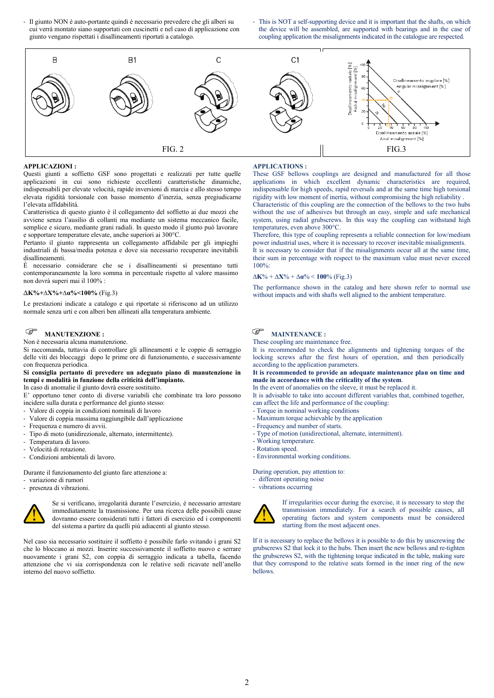- Il giunto NON è auto-portante quindi è necessario prevedere che gli alberi su cui verrà montato siano supportati con cuscinetti e nel caso di applicazione con giunto vengano rispettati i disallineamenti riportati a catalogo.
- This is NOT a self-supporting device and it is important that the shafts, on which the device will be assembled, are supported with bearings and in the case of coupling application the misalignments indicated in the catalogue are respected.



### **APPLICAZIONI :**

Questi giunti a soffietto GSF sono progettati e realizzati per tutte quelle applicazioni in cui sono richieste eccellenti caratteristiche dinamiche, indispensabili per elevate velocità, rapide inversioni di marcia e allo stesso tempo elevata rigidità torsionale con basso momento d'inerzia, senza pregiudicarne l'elevata affidabilità.

Caratteristica di questo giunto è il collegamento del soffietto ai due mozzi che avviene senza l'ausilio di collanti ma mediante un sistema meccanico facile, semplice e sicuro, mediante grani radiali. In questo modo il giunto può lavorare e sopportare temperature elevate, anche superiori ai 300°C.

Pertanto il giunto rappresenta un collegamento affidabile per gli impieghi industriali di bassa/media potenza e dove sia necessario recuperare inevitabili disallineamenti.

È necessario considerare che se i disallineamenti si presentano tutti contemporaneamente la loro somma in percentuale rispetto al valore massimo non dovrà superi mai il 100% :

#### ∆**K%+∆X%+∆α%<100%** (Fig.3)

Le prestazioni indicate a catalogo e qui riportate si riferiscono ad un utilizzo normale senza urti e con alberi ben allineati alla temperatura ambiente.

#### ি **MANUTENZIONE :**

Non è necessaria alcuna manutenzione.

Si raccomanda, tuttavia di controllare gli allineamenti e le coppie di serraggio delle viti dei bloccaggi dopo le prime ore di funzionamento, e successivamente con frequenza periodica.

### **Si consiglia pertanto di prevedere un adeguato piano di manutenzione in tempi e modalità in funzione della criticità dell'impianto.**

In caso di anomalie il giunto dovrà essere sostituito.

E' opportuno tener conto di diverse variabili che combinate tra loro possono incidere sulla durata e performance del giunto stesso:

- Valore di coppia in condizioni nominali di lavoro
- Valore di coppia massima raggiungibile dall'applicazione
- Frequenza e numero di avvii.
- Tipo di moto (unidirezionale, alternato, intermittente).
- Temperatura di lavoro.
- Velocità di rotazione.
- Condizioni ambientali di lavoro.

Durante il funzionamento del giunto fare attenzione a:

- variazione di rumori
- presenza di vibrazioni.



Se si verificano, irregolarità durante l'esercizio, è necessario arrestare immediatamente la trasmissione. Per una ricerca delle possibili cause dovranno essere considerati tutti i fattori di esercizio ed i componenti del sistema a partire da quelli più adiacenti al giunto stesso.

Nel caso sia necessario sostituire il soffietto è possibile farlo svitando i grani S2 che lo bloccano ai mozzi. Inserire successivamente il soffietto nuovo e serrare nuovamente i grani S2, con coppia di serraggio indicata a tabella, facendo attenzione che vi sia corrispondenza con le relative sedi ricavate nell'anello interno del nuovo soffietto.

#### **APPLICATIONS :**

These GSF bellows couplings are designed and manufactured for all those applications in which excellent dynamic characteristics are required, indispensable for high speeds, rapid reversals and at the same time high torsional rigidity with low moment of inertia, without compromising the high reliability .

Characteristic of this coupling are the connection of the bellows to the two hubs without the use of adhesives but through an easy, simple and safe mechanical system, using radial grubscrews. In this way the coupling can withstand high temperatures, even above 300°C.

Therefore, this type of coupling represents a reliable connection for low/medium power industrial uses, where it is necessary to recover inevitable misalignments. It is necessary to consider that if the misalignments occur all at the same time, their sum in percentage with respect to the maximum value must never exceed 100%:

#### ∆**K**% + ∆**X**% + ∆**α**% < **100**% (Fig.3)

The performance shown in the catalog and here shown refer to normal use without impacts and with shafts well aligned to the ambient temperature.



These coupling are maintenance free.

It is recommended to check the alignments and tightening torques of the locking screws after the first hours of operation, and then periodically according to the application parameters.

**It is recommended to provide an adequate maintenance plan on time and made in accordance with the criticality of the system**.

In the event of anomalies on the sleeve, it must be replaced it.

It is advisable to take into account different variables that, combined together, can affect the life and performance of the coupling:

- Torque in nominal working conditions
- Maximum torque achievable by the application
- Frequency and number of starts.
- Type of motion (unidirectional, alternate, intermittent).
- Working temperature.
- Rotation speed.
- Environmental working conditions.

During operation, pay attention to:

- different operating noise
- vibrations occurring



If irregularities occur during the exercise, it is necessary to stop the transmission immediately. For a search of possible causes, all operating factors and system components must be considered starting from the most adjacent ones.

If it is necessary to replace the bellows it is possible to do this by unscrewing the grubscrews S2 that lock it to the hubs. Then insert the new bellows and re-tighten the grubscrews S2, with the tightening torque indicated in the table, making sure that they correspond to the relative seats formed in the inner ring of the new bellows.